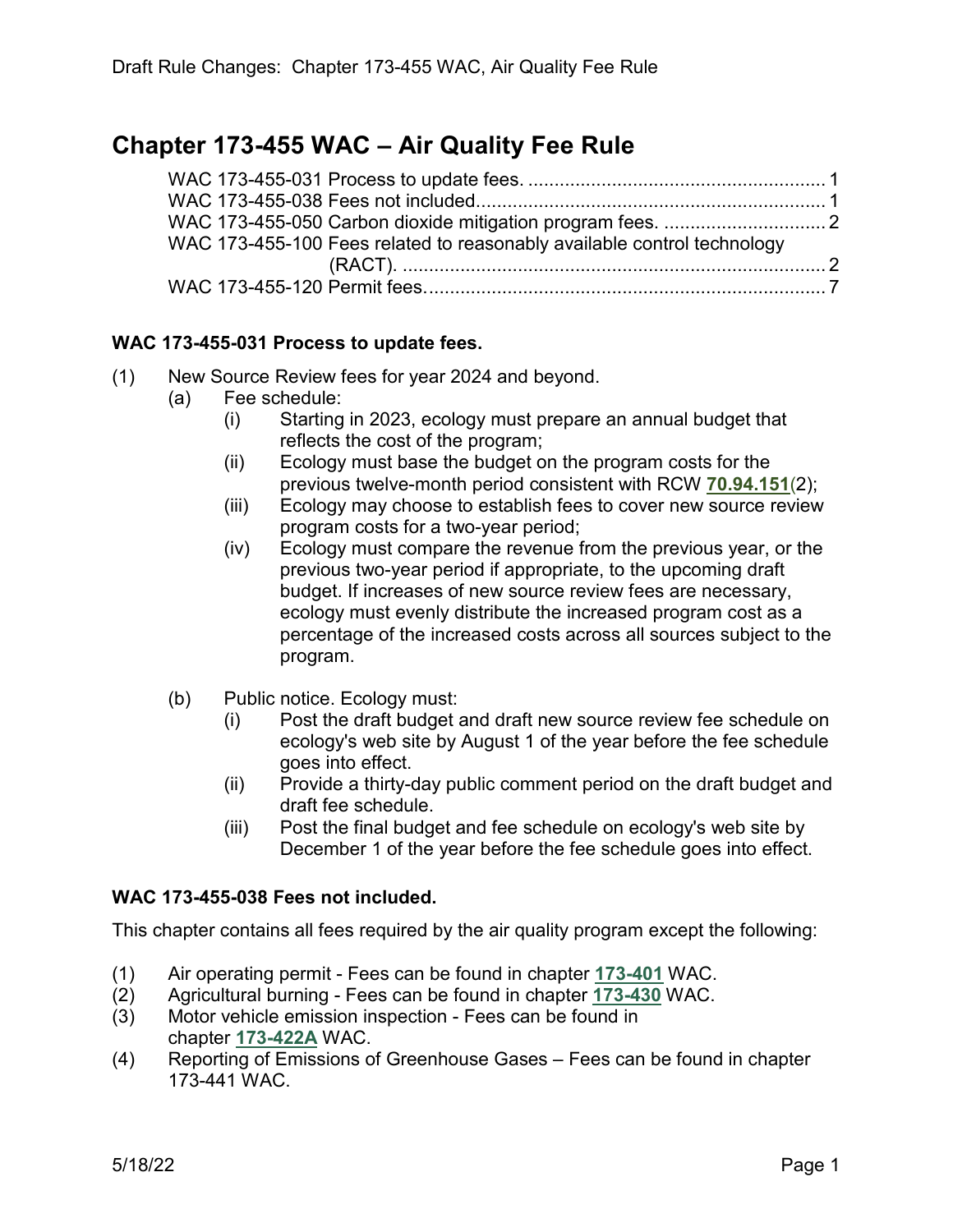# **Chapter 173-455 WAC – Air Quality Fee Rule**

| WAC 173-455-100 Fees related to reasonably available control technology |  |
|-------------------------------------------------------------------------|--|
|                                                                         |  |
|                                                                         |  |

# <span id="page-0-0"></span>**WAC 173-455-031 Process to update fees.**

- (1) New Source Review fees for year 2024 and beyond.
	- (a) Fee schedule:
		- (i) Starting in 2023, ecology must prepare an annual budget that reflects the cost of the program;
		- (ii) Ecology must base the budget on the program costs for the previous twelve-month period consistent with RCW **[70.94.151](https://apps.leg.wa.gov/RCW/dispo.aspx?cite=70.94.151)**(2);
		- (iii) Ecology may choose to establish fees to cover new source review program costs for a two-year period;
		- (iv) Ecology must compare the revenue from the previous year, or the previous two-year period if appropriate, to the upcoming draft budget. If increases of new source review fees are necessary, ecology must evenly distribute the increased program cost as a percentage of the increased costs across all sources subject to the program.
	- (b) Public notice. Ecology must:
		- (i) Post the draft budget and draft new source review fee schedule on ecology's web site by August 1 of the year before the fee schedule goes into effect.
		- (ii) Provide a thirty-day public comment period on the draft budget and draft fee schedule.
		- (iii) Post the final budget and fee schedule on ecology's web site by December 1 of the year before the fee schedule goes into effect.

# <span id="page-0-1"></span>**WAC 173-455-038 Fees not included.**

This chapter contains all fees required by the air quality program except the following:

- 
- (1) Air operating permit Fees can be found in chapter **[173-401](https://app.leg.wa.gov/WAC/default.aspx?cite=173-401)** WAC. (2) Agricultural burning - Fees can be found in chapter **[173-430](https://app.leg.wa.gov/WAC/default.aspx?cite=173-430)** WAC.
- (3) Motor vehicle emission inspection Fees can be found in chapter **[173-422A](https://app.leg.wa.gov/WAC/default.aspx?cite=173-422A)** WAC.
- (4) Reporting of Emissions of Greenhouse Gases Fees can be found in chapter 173-441 WAC.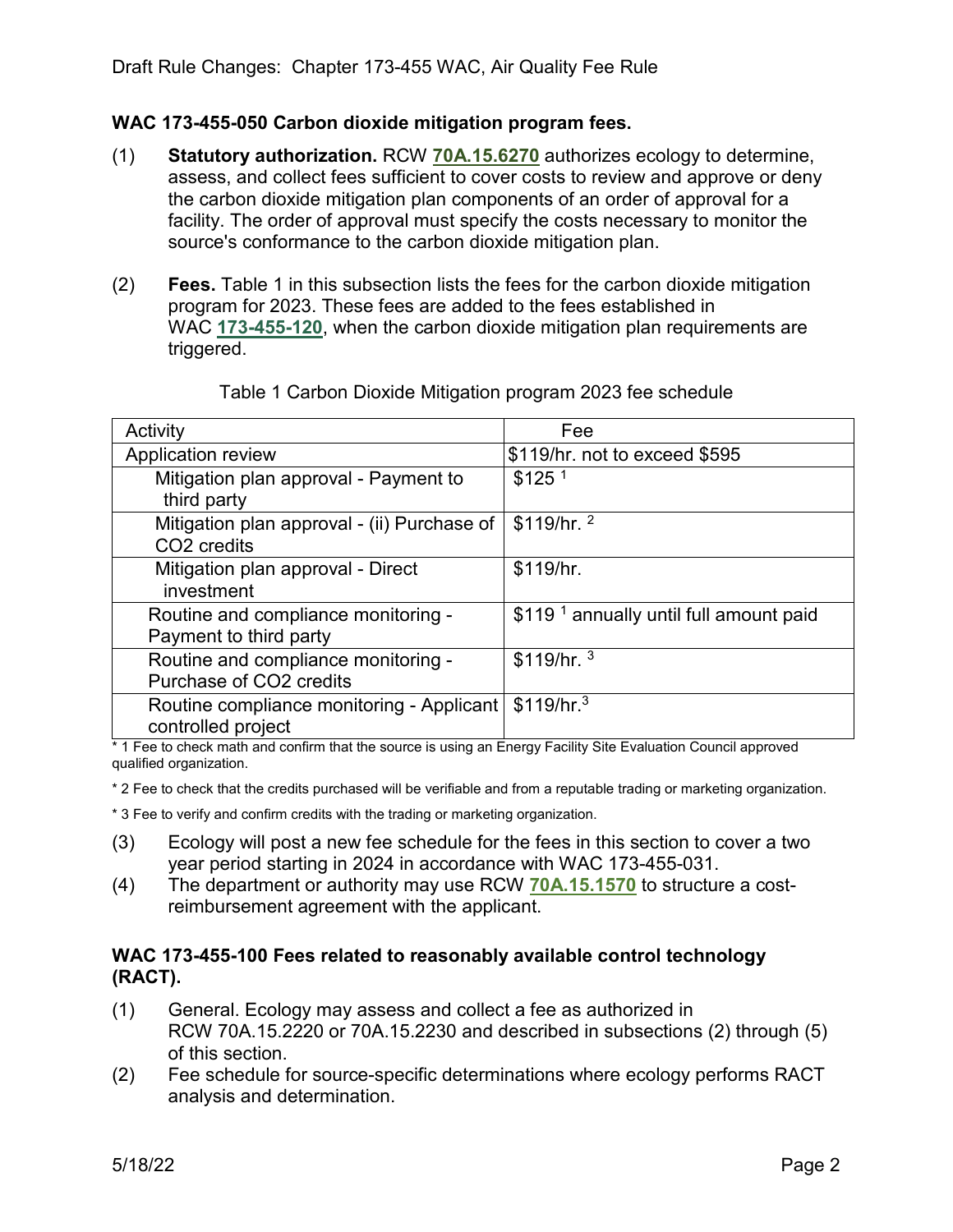### <span id="page-1-0"></span>**WAC 173-455-050 Carbon dioxide mitigation program fees.**

- (1) **Statutory authorization.** RCW **[70A.15.6270](https://app.leg.wa.gov/rcw/default.aspx?cite=70A.15.6270)** authorizes ecology to determine, assess, and collect fees sufficient to cover costs to review and approve or deny the carbon dioxide mitigation plan components of an order of approval for a facility. The order of approval must specify the costs necessary to monitor the source's conformance to the carbon dioxide mitigation plan.
- (2) **Fees.** Table 1 in this subsection lists the fees for the carbon dioxide mitigation program for 2023. These fees are added to the fees established in WAC **[173-455-120](https://app.leg.wa.gov/WAC/default.aspx?cite=173-455-120)**, when the carbon dioxide mitigation plan requirements are triggered.

| Activity                                                               | Fee                                                |
|------------------------------------------------------------------------|----------------------------------------------------|
| Application review                                                     | \$119/hr. not to exceed \$595                      |
| Mitigation plan approval - Payment to<br>third party                   | \$125 <sup>1</sup>                                 |
| Mitigation plan approval - (ii) Purchase of<br>CO <sub>2</sub> credits | $$119/hr.$ <sup>2</sup>                            |
| Mitigation plan approval - Direct<br>investment                        | \$119/hr.                                          |
| Routine and compliance monitoring -<br>Payment to third party          | \$119 <sup>1</sup> annually until full amount paid |
| Routine and compliance monitoring -<br>Purchase of CO2 credits         | \$119/hr. <sup>3</sup>                             |
| Routine compliance monitoring - Applicant<br>controlled project        | \$119/hr. <sup>3</sup>                             |

Table 1 Carbon Dioxide Mitigation program 2023 fee schedule

\* 1 Fee to check math and confirm that the source is using an Energy Facility Site Evaluation Council approved qualified organization.

\* 2 Fee to check that the credits purchased will be verifiable and from a reputable trading or marketing organization.

\* 3 Fee to verify and confirm credits with the trading or marketing organization.

- (3) Ecology will post a new fee schedule for the fees in this section to cover a two year period starting in 2024 in accordance with WAC 173-455-031.
- (4) The department or authority may use RCW **[70A.15.1570](https://app.leg.wa.gov/rcw/default.aspx?cite=70A.15.1570)** to structure a costreimbursement agreement with the applicant.

# <span id="page-1-1"></span>**WAC 173-455-100 Fees related to reasonably available control technology (RACT).**

- (1) General. Ecology may assess and collect a fee as authorized in RCW 70A.15.2220 or 70A.15.2230 and described in subsections (2) through (5) of this section.
- (2) Fee schedule for source-specific determinations where ecology performs RACT analysis and determination.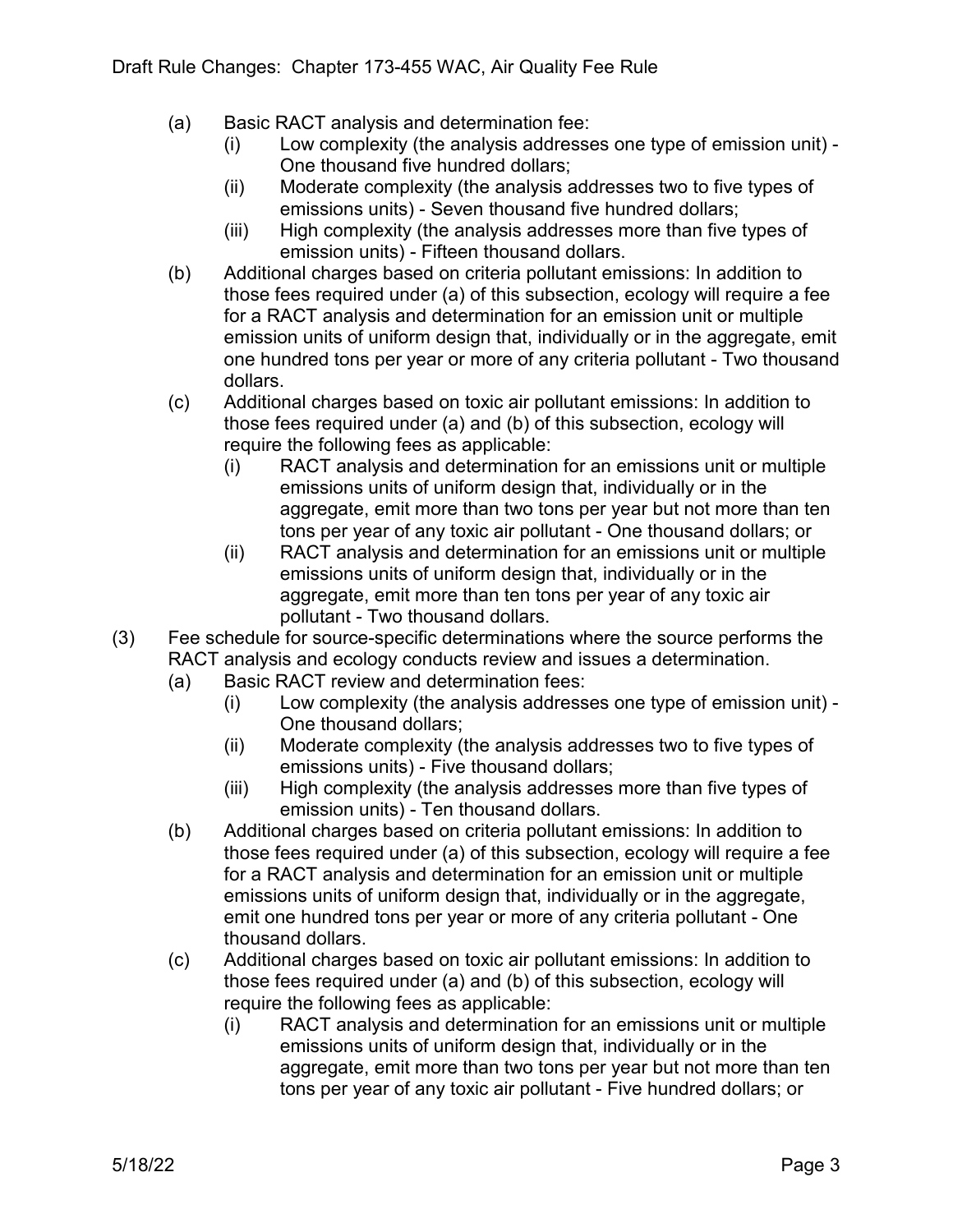- (a) Basic RACT analysis and determination fee:
	- (i) Low complexity (the analysis addresses one type of emission unit) One thousand five hundred dollars;
	- (ii) Moderate complexity (the analysis addresses two to five types of emissions units) - Seven thousand five hundred dollars;
	- (iii) High complexity (the analysis addresses more than five types of emission units) - Fifteen thousand dollars.
- (b) Additional charges based on criteria pollutant emissions: In addition to those fees required under (a) of this subsection, ecology will require a fee for a RACT analysis and determination for an emission unit or multiple emission units of uniform design that, individually or in the aggregate, emit one hundred tons per year or more of any criteria pollutant - Two thousand dollars.
- (c) Additional charges based on toxic air pollutant emissions: In addition to those fees required under (a) and (b) of this subsection, ecology will require the following fees as applicable:
	- (i) RACT analysis and determination for an emissions unit or multiple emissions units of uniform design that, individually or in the aggregate, emit more than two tons per year but not more than ten tons per year of any toxic air pollutant - One thousand dollars; or
	- (ii) RACT analysis and determination for an emissions unit or multiple emissions units of uniform design that, individually or in the aggregate, emit more than ten tons per year of any toxic air pollutant - Two thousand dollars.
- (3) Fee schedule for source-specific determinations where the source performs the RACT analysis and ecology conducts review and issues a determination.
	- (a) Basic RACT review and determination fees:
		- (i) Low complexity (the analysis addresses one type of emission unit) One thousand dollars;
		- (ii) Moderate complexity (the analysis addresses two to five types of emissions units) - Five thousand dollars;
		- (iii) High complexity (the analysis addresses more than five types of emission units) - Ten thousand dollars.
	- (b) Additional charges based on criteria pollutant emissions: In addition to those fees required under (a) of this subsection, ecology will require a fee for a RACT analysis and determination for an emission unit or multiple emissions units of uniform design that, individually or in the aggregate, emit one hundred tons per year or more of any criteria pollutant - One thousand dollars.
	- (c) Additional charges based on toxic air pollutant emissions: In addition to those fees required under (a) and (b) of this subsection, ecology will require the following fees as applicable:
		- (i) RACT analysis and determination for an emissions unit or multiple emissions units of uniform design that, individually or in the aggregate, emit more than two tons per year but not more than ten tons per year of any toxic air pollutant - Five hundred dollars; or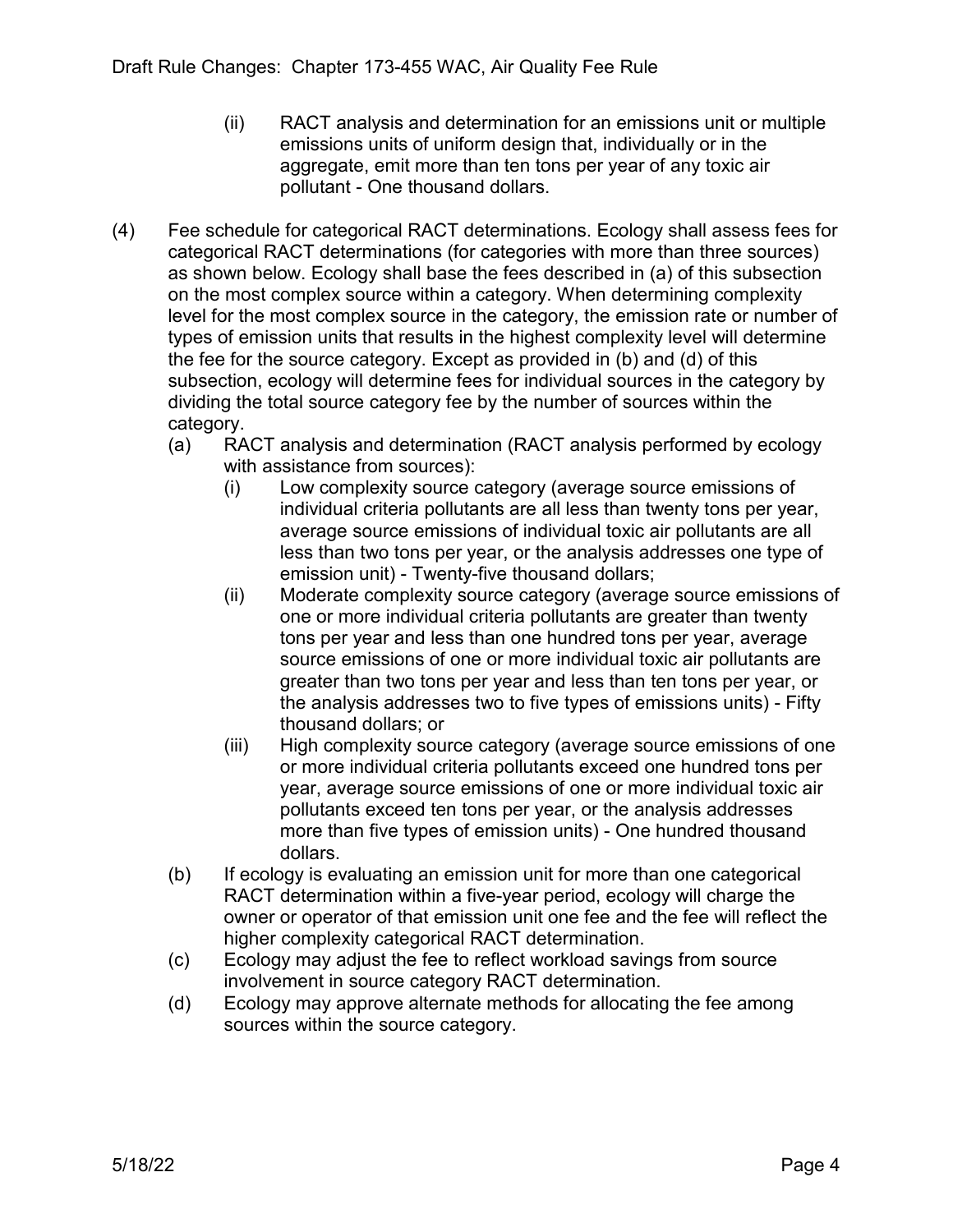- (ii) RACT analysis and determination for an emissions unit or multiple emissions units of uniform design that, individually or in the aggregate, emit more than ten tons per year of any toxic air pollutant - One thousand dollars.
- (4) Fee schedule for categorical RACT determinations. Ecology shall assess fees for categorical RACT determinations (for categories with more than three sources) as shown below. Ecology shall base the fees described in (a) of this subsection on the most complex source within a category. When determining complexity level for the most complex source in the category, the emission rate or number of types of emission units that results in the highest complexity level will determine the fee for the source category. Except as provided in (b) and (d) of this subsection, ecology will determine fees for individual sources in the category by dividing the total source category fee by the number of sources within the category.
	- (a) RACT analysis and determination (RACT analysis performed by ecology with assistance from sources):
		- (i) Low complexity source category (average source emissions of individual criteria pollutants are all less than twenty tons per year, average source emissions of individual toxic air pollutants are all less than two tons per year, or the analysis addresses one type of emission unit) - Twenty-five thousand dollars;
		- (ii) Moderate complexity source category (average source emissions of one or more individual criteria pollutants are greater than twenty tons per year and less than one hundred tons per year, average source emissions of one or more individual toxic air pollutants are greater than two tons per year and less than ten tons per year, or the analysis addresses two to five types of emissions units) - Fifty thousand dollars; or
		- (iii) High complexity source category (average source emissions of one or more individual criteria pollutants exceed one hundred tons per year, average source emissions of one or more individual toxic air pollutants exceed ten tons per year, or the analysis addresses more than five types of emission units) - One hundred thousand dollars.
	- (b) If ecology is evaluating an emission unit for more than one categorical RACT determination within a five-year period, ecology will charge the owner or operator of that emission unit one fee and the fee will reflect the higher complexity categorical RACT determination.
	- (c) Ecology may adjust the fee to reflect workload savings from source involvement in source category RACT determination.
	- (d) Ecology may approve alternate methods for allocating the fee among sources within the source category.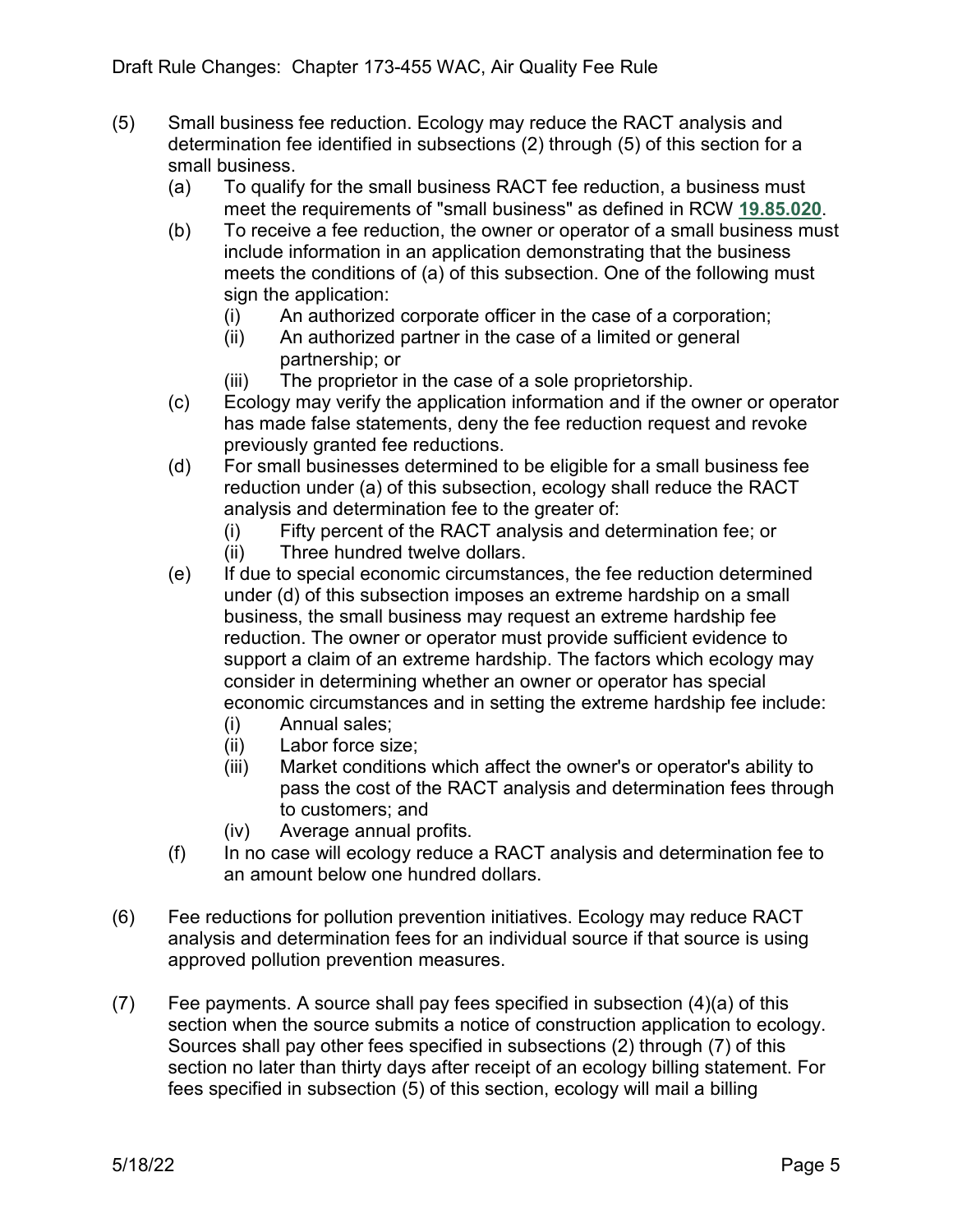- (5) Small business fee reduction. Ecology may reduce the RACT analysis and determination fee identified in subsections (2) through (5) of this section for a small business.
	- (a) To qualify for the small business RACT fee reduction, a business must meet the requirements of "small business" as defined in RCW **[19.85.020](http://app.leg.wa.gov/RCW/default.aspx?cite=19.85.020)**.
	- (b) To receive a fee reduction, the owner or operator of a small business must include information in an application demonstrating that the business meets the conditions of (a) of this subsection. One of the following must sign the application:
		- (i) An authorized corporate officer in the case of a corporation;
		- (ii) An authorized partner in the case of a limited or general partnership; or
		- (iii) The proprietor in the case of a sole proprietorship.
	- (c) Ecology may verify the application information and if the owner or operator has made false statements, deny the fee reduction request and revoke previously granted fee reductions.
	- (d) For small businesses determined to be eligible for a small business fee reduction under (a) of this subsection, ecology shall reduce the RACT analysis and determination fee to the greater of:
		- (i) Fifty percent of the RACT analysis and determination fee; or
		- (ii) Three hundred twelve dollars.
	- (e) If due to special economic circumstances, the fee reduction determined under (d) of this subsection imposes an extreme hardship on a small business, the small business may request an extreme hardship fee reduction. The owner or operator must provide sufficient evidence to support a claim of an extreme hardship. The factors which ecology may consider in determining whether an owner or operator has special economic circumstances and in setting the extreme hardship fee include:
		- (i) Annual sales;
		- (ii) Labor force size;
		- (iii) Market conditions which affect the owner's or operator's ability to pass the cost of the RACT analysis and determination fees through to customers; and
		- (iv) Average annual profits.
	- (f) In no case will ecology reduce a RACT analysis and determination fee to an amount below one hundred dollars.
- (6) Fee reductions for pollution prevention initiatives. Ecology may reduce RACT analysis and determination fees for an individual source if that source is using approved pollution prevention measures.
- (7) Fee payments. A source shall pay fees specified in subsection (4)(a) of this section when the source submits a notice of construction application to ecology. Sources shall pay other fees specified in subsections (2) through (7) of this section no later than thirty days after receipt of an ecology billing statement. For fees specified in subsection (5) of this section, ecology will mail a billing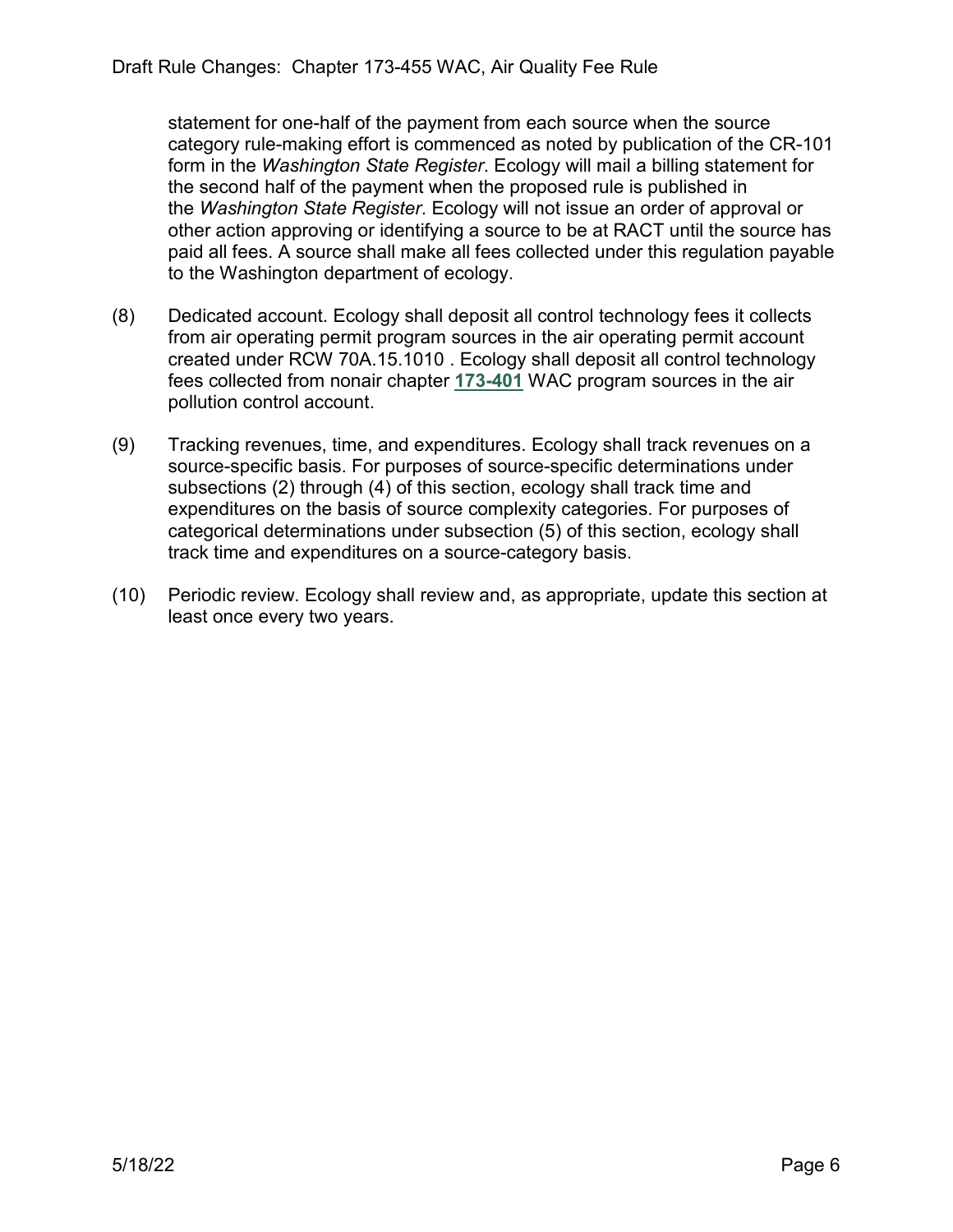statement for one-half of the payment from each source when the source category rule-making effort is commenced as noted by publication of the CR-101 form in the *Washington State Register*. Ecology will mail a billing statement for the second half of the payment when the proposed rule is published in the *Washington State Register*. Ecology will not issue an order of approval or other action approving or identifying a source to be at RACT until the source has paid all fees. A source shall make all fees collected under this regulation payable to the Washington department of ecology.

- (8) Dedicated account. Ecology shall deposit all control technology fees it collects from air operating permit program sources in the air operating permit account created under RCW 70A.15.1010 . Ecology shall deposit all control technology fees collected from nonair chapter **[173-401](https://app.leg.wa.gov/WAC/default.aspx?cite=173-401)** WAC program sources in the air pollution control account.
- (9) Tracking revenues, time, and expenditures. Ecology shall track revenues on a source-specific basis. For purposes of source-specific determinations under subsections (2) through (4) of this section, ecology shall track time and expenditures on the basis of source complexity categories. For purposes of categorical determinations under subsection (5) of this section, ecology shall track time and expenditures on a source-category basis.
- (10) Periodic review. Ecology shall review and, as appropriate, update this section at least once every two years.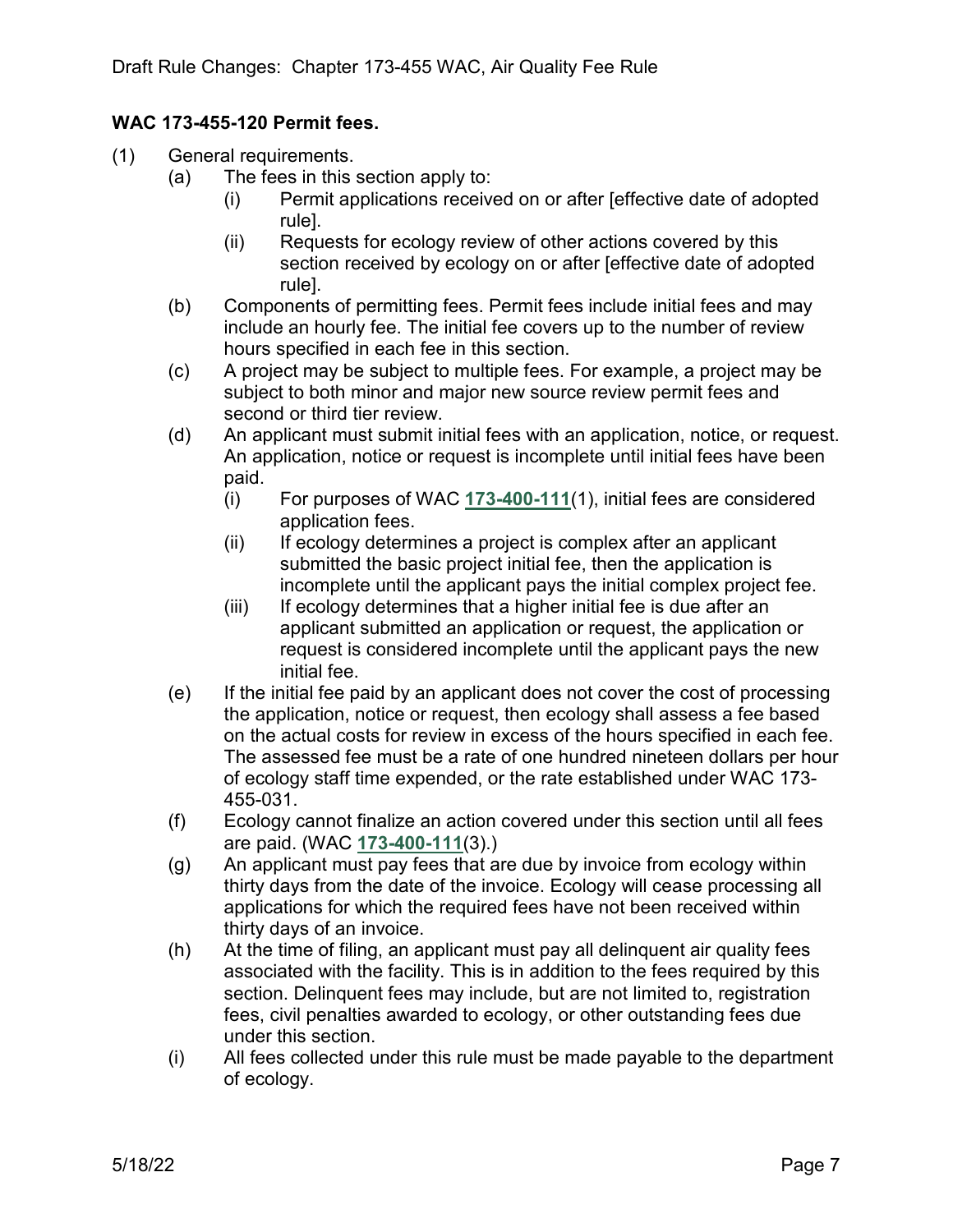# <span id="page-6-0"></span>**WAC 173-455-120 Permit fees.**

- (1) General requirements.
	- (a) The fees in this section apply to:
		- (i) Permit applications received on or after [effective date of adopted rule].
		- (ii) Requests for ecology review of other actions covered by this section received by ecology on or after [effective date of adopted rule].
	- (b) Components of permitting fees. Permit fees include initial fees and may include an hourly fee. The initial fee covers up to the number of review hours specified in each fee in this section.
	- (c) A project may be subject to multiple fees. For example, a project may be subject to both minor and major new source review permit fees and second or third tier review.
	- (d) An applicant must submit initial fees with an application, notice, or request. An application, notice or request is incomplete until initial fees have been paid.
		- (i) For purposes of WAC **[173-400-111](https://app.leg.wa.gov/WAC/default.aspx?cite=173-400-111)**(1), initial fees are considered application fees.
		- (ii) If ecology determines a project is complex after an applicant submitted the basic project initial fee, then the application is incomplete until the applicant pays the initial complex project fee.
		- (iii) If ecology determines that a higher initial fee is due after an applicant submitted an application or request, the application or request is considered incomplete until the applicant pays the new initial fee.
	- (e) If the initial fee paid by an applicant does not cover the cost of processing the application, notice or request, then ecology shall assess a fee based on the actual costs for review in excess of the hours specified in each fee. The assessed fee must be a rate of one hundred nineteen dollars per hour of ecology staff time expended, or the rate established under WAC 173- 455-031.
	- (f) Ecology cannot finalize an action covered under this section until all fees are paid. (WAC **[173-400-111](https://app.leg.wa.gov/WAC/default.aspx?cite=173-400-111)**(3).)
	- (g) An applicant must pay fees that are due by invoice from ecology within thirty days from the date of the invoice. Ecology will cease processing all applications for which the required fees have not been received within thirty days of an invoice.
	- (h) At the time of filing, an applicant must pay all delinquent air quality fees associated with the facility. This is in addition to the fees required by this section. Delinquent fees may include, but are not limited to, registration fees, civil penalties awarded to ecology, or other outstanding fees due under this section.
	- (i) All fees collected under this rule must be made payable to the department of ecology.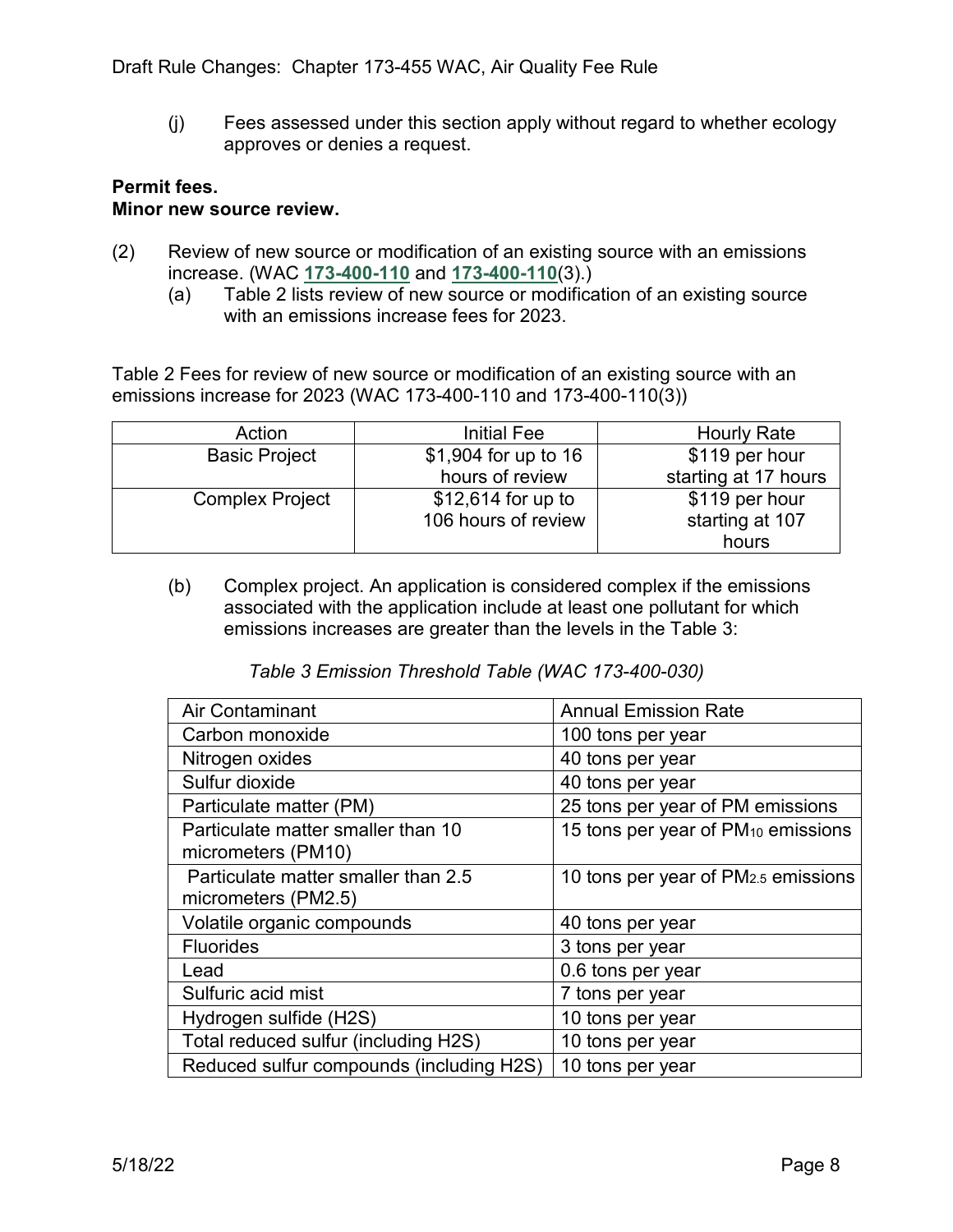(j) Fees assessed under this section apply without regard to whether ecology approves or denies a request.

#### **Permit fees. Minor new source review.**

- (2) Review of new source or modification of an existing source with an emissions increase. (WAC **[173-400-110](https://app.leg.wa.gov/WAC/default.aspx?cite=173-400-110)** and **[173-400-110](https://app.leg.wa.gov/WAC/default.aspx?cite=173-400-110)**(3).)
	- (a) Table 2 lists review of new source or modification of an existing source with an emissions increase fees for 2023.

Table 2 Fees for review of new source or modification of an existing source with an emissions increase for 2023 (WAC 173-400-110 and 173-400-110(3))

| Action                 | Initial Fee          | <b>Hourly Rate</b>   |
|------------------------|----------------------|----------------------|
| <b>Basic Project</b>   | \$1,904 for up to 16 | \$119 per hour       |
|                        | hours of review      | starting at 17 hours |
| <b>Complex Project</b> | $$12,614$ for up to  | \$119 per hour       |
|                        | 106 hours of review  | starting at 107      |
|                        |                      | hours                |

(b) Complex project. An application is considered complex if the emissions associated with the application include at least one pollutant for which emissions increases are greater than the levels in the Table 3:

*Table 3 Emission Threshold Table (WAC 173-400-030)*

| Air Contaminant                                            | <b>Annual Emission Rate</b>                     |
|------------------------------------------------------------|-------------------------------------------------|
| Carbon monoxide                                            | 100 tons per year                               |
| Nitrogen oxides                                            | 40 tons per year                                |
| Sulfur dioxide                                             | 40 tons per year                                |
| Particulate matter (PM)                                    | 25 tons per year of PM emissions                |
| Particulate matter smaller than 10<br>micrometers (PM10)   | 15 tons per year of PM <sub>10</sub> emissions  |
| Particulate matter smaller than 2.5<br>micrometers (PM2.5) | 10 tons per year of PM <sub>2.5</sub> emissions |
| Volatile organic compounds                                 | 40 tons per year                                |
| <b>Fluorides</b>                                           | 3 tons per year                                 |
| Lead                                                       | 0.6 tons per year                               |
| Sulfuric acid mist                                         | 7 tons per year                                 |
| Hydrogen sulfide (H2S)                                     | 10 tons per year                                |
| Total reduced sulfur (including H2S)                       | 10 tons per year                                |
| Reduced sulfur compounds (including H2S)                   | 10 tons per year                                |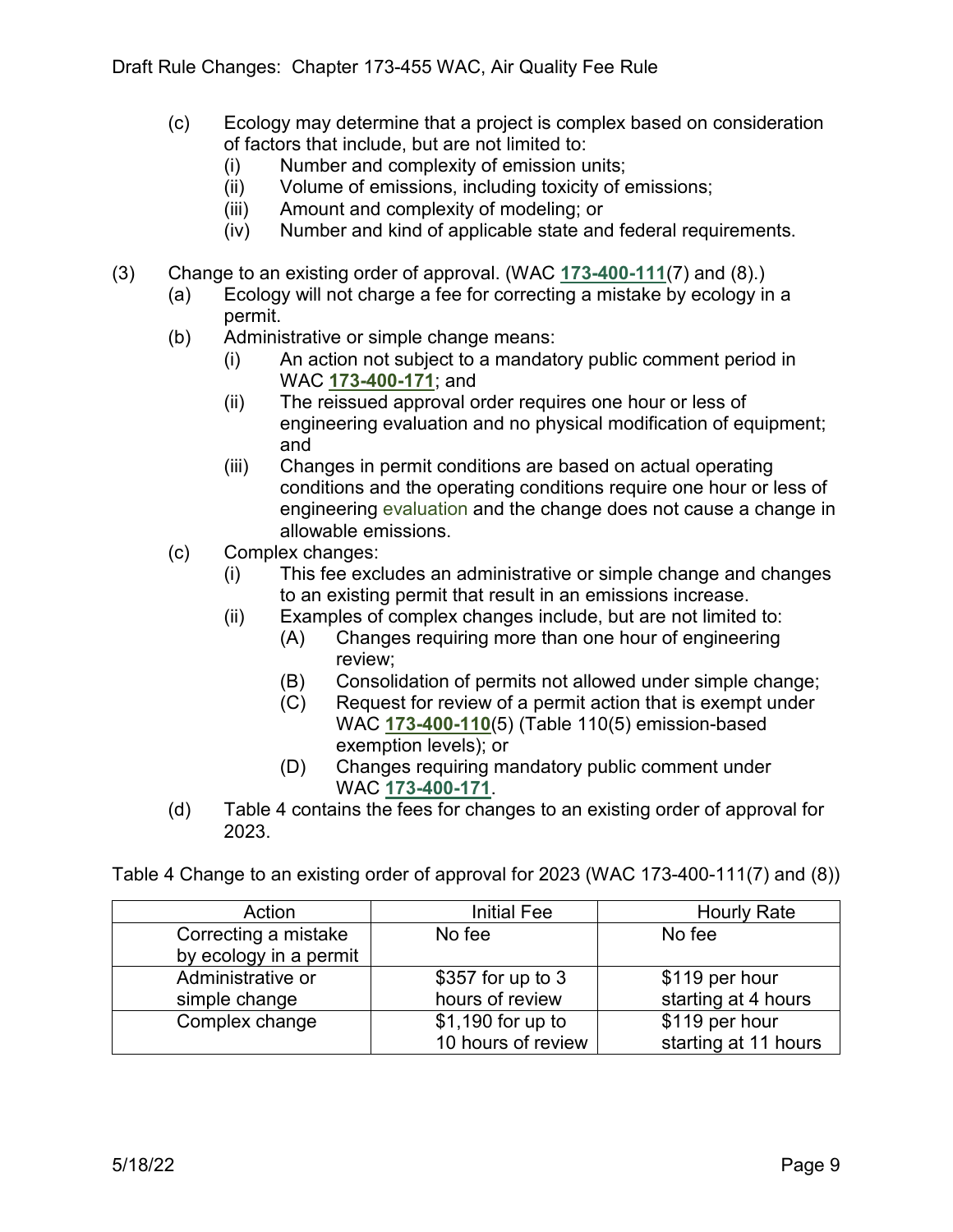- (c) Ecology may determine that a project is complex based on consideration of factors that include, but are not limited to:
	- (i) Number and complexity of emission units;
	- (ii) Volume of emissions, including toxicity of emissions;
	- (iii) Amount and complexity of modeling; or
	- (iv) Number and kind of applicable state and federal requirements.
- (3) Change to an existing order of approval. (WAC **[173-400-111](https://app.leg.wa.gov/WAC/default.aspx?cite=173-400-111)**(7) and (8).)
	- (a) Ecology will not charge a fee for correcting a mistake by ecology in a permit.
	- (b) Administrative or simple change means:
		- (i) An action not subject to a mandatory public comment period in WAC **[173-400-171](https://app.leg.wa.gov/WAC/default.aspx?cite=173-400-171)**; and
		- (ii) The reissued approval order requires one hour or less of engineering evaluation and no physical modification of equipment; and
		- (iii) Changes in permit conditions are based on actual operating conditions and the operating conditions require one hour or less of engineering evaluation and the change does not cause a change in allowable emissions.
	- (c) Complex changes:
		- (i) This fee excludes an administrative or simple change and changes to an existing permit that result in an emissions increase.
		- (ii) Examples of complex changes include, but are not limited to:
			- (A) Changes requiring more than one hour of engineering review;
			- (B) Consolidation of permits not allowed under simple change;
			- (C) Request for review of a permit action that is exempt under WAC **[173-400-110](https://app.leg.wa.gov/WAC/default.aspx?cite=173-400-110)**(5) (Table 110(5) emission-based exemption levels); or
			- (D) Changes requiring mandatory public comment under WAC **[173-400-171](https://app.leg.wa.gov/WAC/default.aspx?cite=173-400-171)**.
	- (d) Table 4 contains the fees for changes to an existing order of approval for 2023.

Table 4 Change to an existing order of approval for 2023 (WAC 173-400-111(7) and (8))

| Action                 | <b>Initial Fee</b> | <b>Hourly Rate</b>   |
|------------------------|--------------------|----------------------|
| Correcting a mistake   | No fee             | No fee               |
| by ecology in a permit |                    |                      |
| Administrative or      | \$357 for up to 3  | \$119 per hour       |
| simple change          | hours of review    | starting at 4 hours  |
| Complex change         | \$1,190 for up to  | \$119 per hour       |
|                        | 10 hours of review | starting at 11 hours |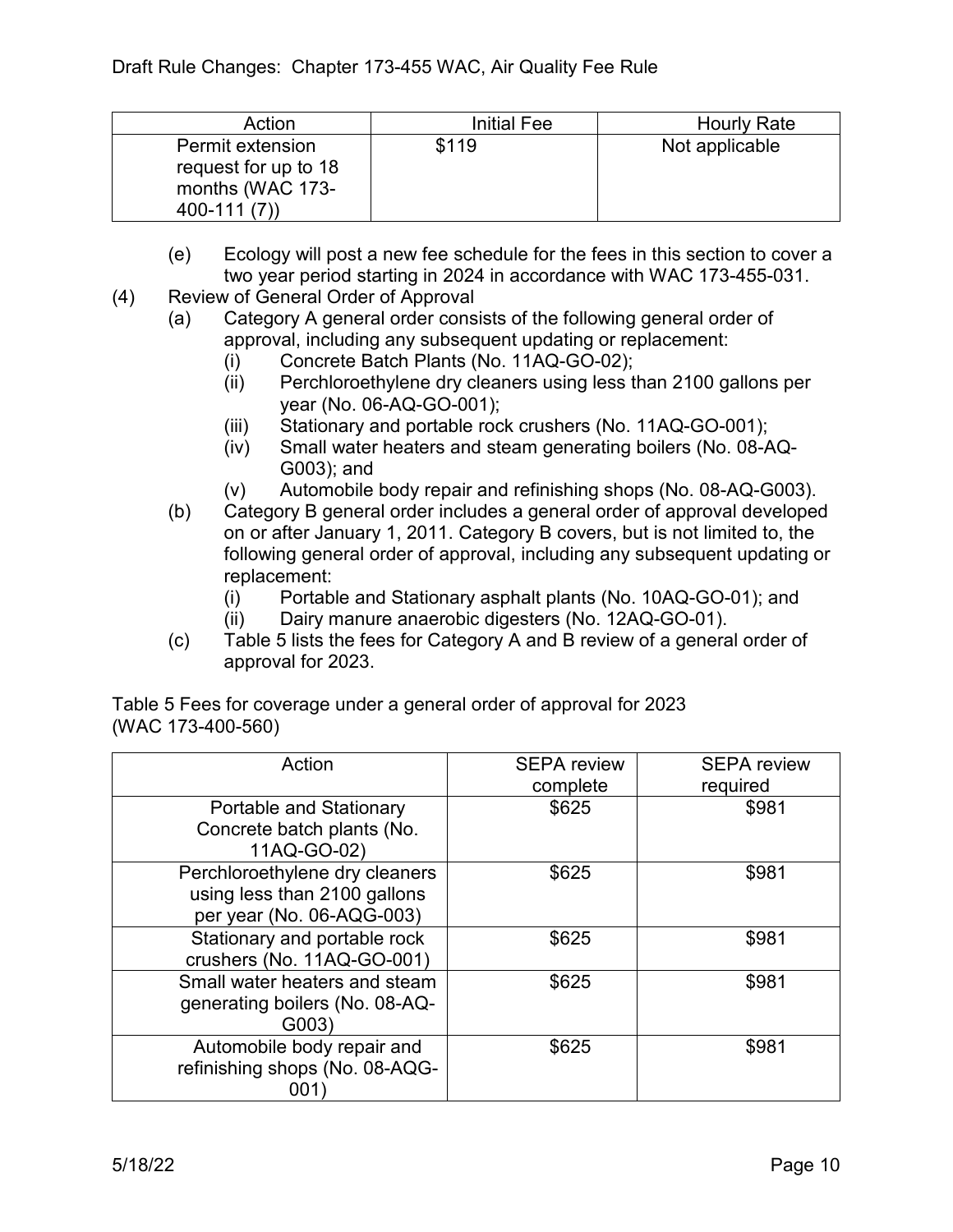| Action                                                                         | Initial Fee | <b>Hourly Rate</b> |
|--------------------------------------------------------------------------------|-------------|--------------------|
| Permit extension<br>request for up to 18<br>months (WAC 173-<br>$400 - 111(7)$ | \$119       | Not applicable     |

- (e) Ecology will post a new fee schedule for the fees in this section to cover a two year period starting in 2024 in accordance with WAC 173-455-031.
- (4) Review of General Order of Approval
	- (a) Category A general order consists of the following general order of approval, including any subsequent updating or replacement:
		- (i) Concrete Batch Plants (No. 11AQ-GO-02);
		- (ii) Perchloroethylene dry cleaners using less than 2100 gallons per year (No. 06-AQ-GO-001);
		- (iii) Stationary and portable rock crushers (No. 11AQ-GO-001);
		- (iv) Small water heaters and steam generating boilers (No. 08-AQ-G003); and
		- (v) Automobile body repair and refinishing shops (No. 08-AQ-G003).
	- (b) Category B general order includes a general order of approval developed on or after January 1, 2011. Category B covers, but is not limited to, the following general order of approval, including any subsequent updating or replacement:
		- (i) Portable and Stationary asphalt plants (No. 10AQ-GO-01); and
		- (ii) Dairy manure anaerobic digesters (No. 12AQ-GO-01).
	- (c) Table 5 lists the fees for Category A and B review of a general order of approval for 2023.

Table 5 Fees for coverage under a general order of approval for 2023 (WAC 173-400-560)

| Action                                                                                      | <b>SEPA</b> review | <b>SEPA</b> review |
|---------------------------------------------------------------------------------------------|--------------------|--------------------|
|                                                                                             | complete           | required           |
| <b>Portable and Stationary</b><br>Concrete batch plants (No.<br>11AQ-GO-02)                 | \$625              | \$981              |
| Perchloroethylene dry cleaners<br>using less than 2100 gallons<br>per year (No. 06-AQG-003) | \$625              | \$981              |
| Stationary and portable rock<br>crushers (No. 11AQ-GO-001)                                  | \$625              | \$981              |
| Small water heaters and steam<br>generating boilers (No. 08-AQ-<br>G003                     | \$625              | \$981              |
| Automobile body repair and<br>refinishing shops (No. 08-AQG-<br>001                         | \$625              | \$981              |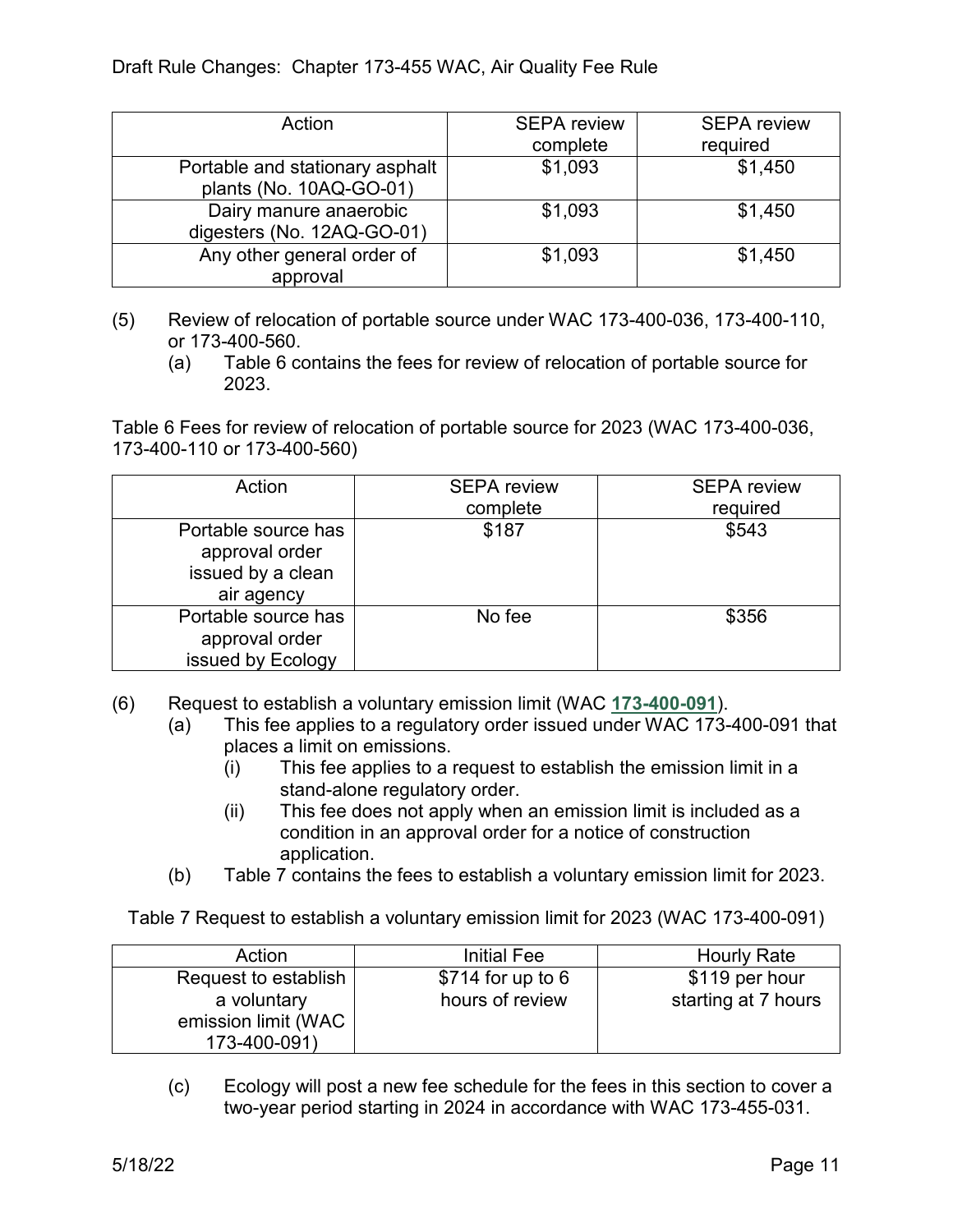| Action                          | <b>SEPA</b> review | <b>SEPA</b> review |
|---------------------------------|--------------------|--------------------|
|                                 | complete           | required           |
| Portable and stationary asphalt | \$1,093            | \$1,450            |
| plants (No. 10AQ-GO-01)         |                    |                    |
| Dairy manure anaerobic          | \$1,093            | \$1,450            |
| digesters (No. 12AQ-GO-01)      |                    |                    |
| Any other general order of      | \$1,093            | \$1,450            |
| approval                        |                    |                    |

- (5) Review of relocation of portable source under WAC 173-400-036, 173-400-110, or 173-400-560.
	- (a) Table 6 contains the fees for review of relocation of portable source for 2023.

Table 6 Fees for review of relocation of portable source for 2023 (WAC 173-400-036, 173-400-110 or 173-400-560)

| Action                                                                   | <b>SEPA review</b> | <b>SEPA</b> review |
|--------------------------------------------------------------------------|--------------------|--------------------|
|                                                                          | complete           | required           |
| Portable source has<br>approval order<br>issued by a clean<br>air agency | \$187              | \$543              |
| Portable source has<br>approval order<br>issued by Ecology               | No fee             | \$356              |

- (6) Request to establish a voluntary emission limit (WAC **[173-400-091](https://app.leg.wa.gov/WAC/default.aspx?cite=173-400-091)**).
	- (a) This fee applies to a regulatory order issued under WAC [173-400-091](https://app.leg.wa.gov/WAC/default.aspx?cite=173-400-091) that places a limit on emissions.
		- (i) This fee applies to a request to establish the emission limit in a stand-alone regulatory order.
		- (ii) This fee does not apply when an emission limit is included as a condition in an approval order for a notice of construction application.
	- (b) Table 7 contains the fees to establish a voluntary emission limit for 2023.

Table 7 Request to establish a voluntary emission limit for 2023 (WAC 173-400-091)

| Action               | <b>Initial Fee</b> | <b>Hourly Rate</b>  |
|----------------------|--------------------|---------------------|
| Request to establish | $$714$ for up to 6 | \$119 per hour      |
| a voluntary          | hours of review    | starting at 7 hours |
| emission limit (WAC  |                    |                     |
| 173-400-091)         |                    |                     |

(c) Ecology will post a new fee schedule for the fees in this section to cover a two-year period starting in 2024 in accordance with WAC 173-455-031.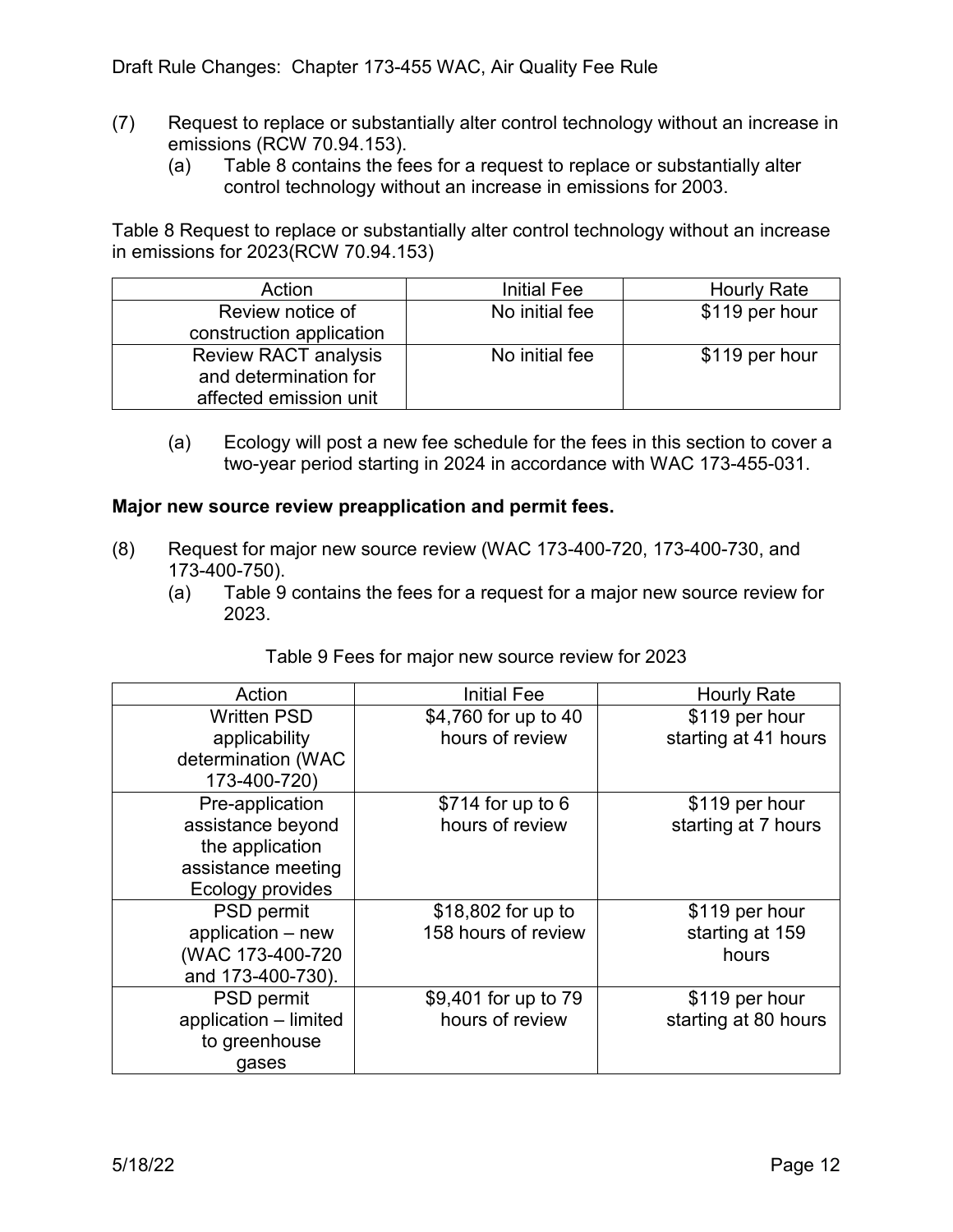- (7) Request to replace or substantially alter control technology without an increase in emissions (RCW 70.94.153).
	- (a) Table 8 contains the fees for a request to replace or substantially alter control technology without an increase in emissions for 2003.

Table 8 Request to replace or substantially alter control technology without an increase in emissions for 2023(RCW 70.94.153)

| Action                      | <b>Initial Fee</b> | <b>Hourly Rate</b> |
|-----------------------------|--------------------|--------------------|
| Review notice of            | No initial fee     | \$119 per hour     |
| construction application    |                    |                    |
| <b>Review RACT analysis</b> | No initial fee     | \$119 per hour     |
| and determination for       |                    |                    |
| affected emission unit      |                    |                    |

(a) Ecology will post a new fee schedule for the fees in this section to cover a two-year period starting in 2024 in accordance with WAC 173-455-031.

#### **Major new source review preapplication and permit fees.**

- (8) Request for major new source review (WAC 173-400-720, 173-400-730, and 173-400-750).
	- (a) Table 9 contains the fees for a request for a major new source review for 2023.

| Action                | <b>Initial Fee</b>   | <b>Hourly Rate</b>   |
|-----------------------|----------------------|----------------------|
| <b>Written PSD</b>    | \$4,760 for up to 40 | \$119 per hour       |
| applicability         | hours of review      | starting at 41 hours |
| determination (WAC    |                      |                      |
| 173-400-720)          |                      |                      |
| Pre-application       | $$714$ for up to 6   | \$119 per hour       |
| assistance beyond     | hours of review      | starting at 7 hours  |
| the application       |                      |                      |
| assistance meeting    |                      |                      |
| Ecology provides      |                      |                      |
| PSD permit            | \$18,802 for up to   | \$119 per hour       |
| application - new     | 158 hours of review  | starting at 159      |
| (WAC 173-400-720      |                      | hours                |
| and 173-400-730).     |                      |                      |
| <b>PSD</b> permit     | \$9,401 for up to 79 | \$119 per hour       |
| application - limited | hours of review      | starting at 80 hours |
| to greenhouse         |                      |                      |
| gases                 |                      |                      |

#### Table 9 Fees for major new source review for 2023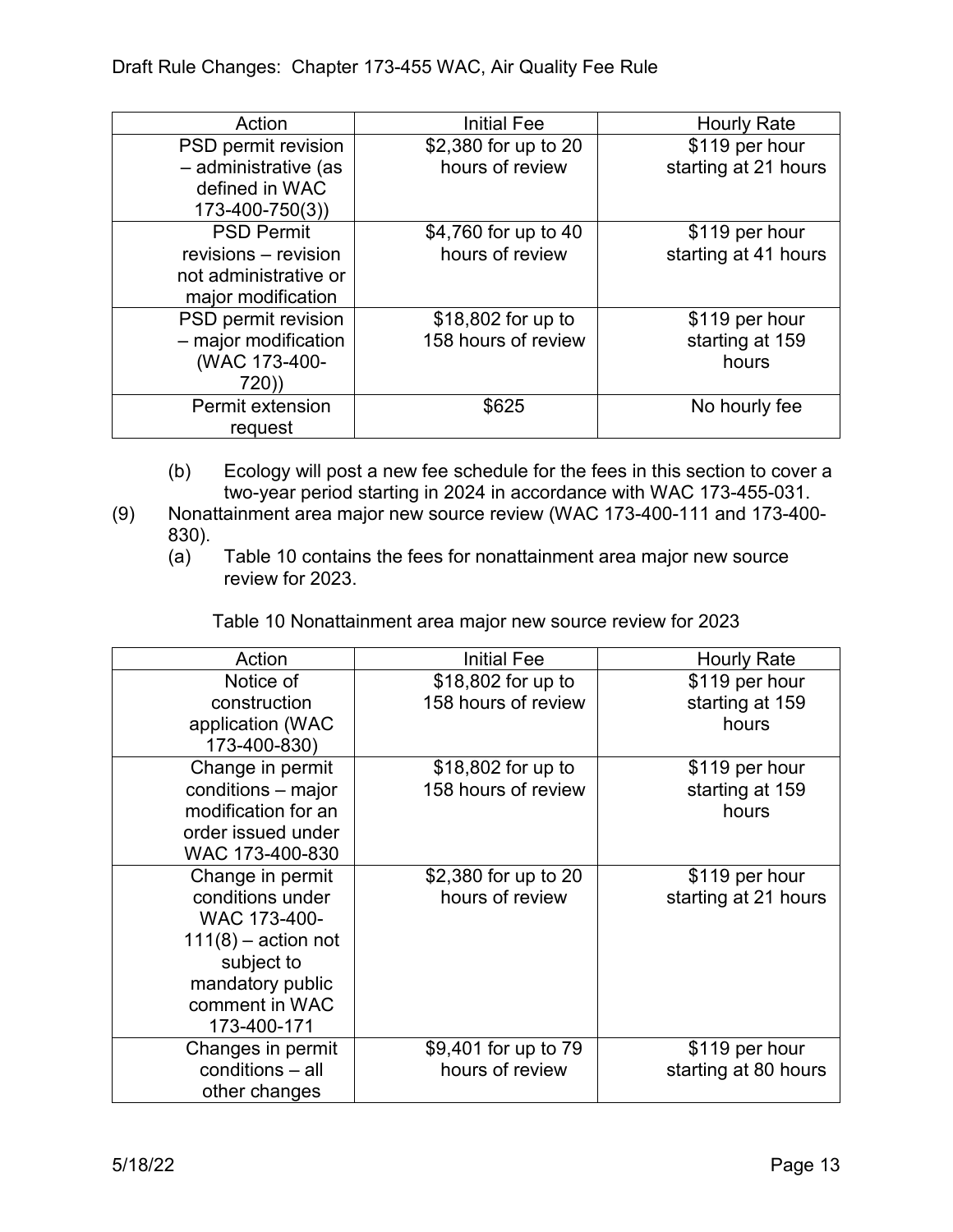| Action                | <b>Initial Fee</b>   | <b>Hourly Rate</b>   |
|-----------------------|----------------------|----------------------|
| PSD permit revision   | \$2,380 for up to 20 | \$119 per hour       |
| - administrative (as  | hours of review      | starting at 21 hours |
| defined in WAC        |                      |                      |
| $173 - 400 - 750(3)$  |                      |                      |
| <b>PSD Permit</b>     | \$4,760 for up to 40 | \$119 per hour       |
| revisions - revision  | hours of review      | starting at 41 hours |
| not administrative or |                      |                      |
| major modification    |                      |                      |
| PSD permit revision   | \$18,802 for up to   | \$119 per hour       |
| - major modification  | 158 hours of review  | starting at 159      |
| (WAC 173-400-         |                      | hours                |
| 720))                 |                      |                      |
| Permit extension      | \$625                | No hourly fee        |
| request               |                      |                      |

- (b) Ecology will post a new fee schedule for the fees in this section to cover a two-year period starting in 2024 in accordance with WAC 173-455-031.
- (9) Nonattainment area major new source review (WAC 173-400-111 and 173-400- 830).<br>(a)
	- Table 10 contains the fees for nonattainment area major new source review for 2023.

Table 10 Nonattainment area major new source review for 2023

| Action                                                                                                                                           | <b>Initial Fee</b>                        | <b>Hourly Rate</b>                         |
|--------------------------------------------------------------------------------------------------------------------------------------------------|-------------------------------------------|--------------------------------------------|
| Notice of<br>construction<br>application (WAC<br>173-400-830)                                                                                    | \$18,802 for up to<br>158 hours of review | \$119 per hour<br>starting at 159<br>hours |
| Change in permit<br>conditions - major<br>modification for an<br>order issued under<br>WAC 173-400-830                                           | \$18,802 for up to<br>158 hours of review | \$119 per hour<br>starting at 159<br>hours |
| Change in permit<br>conditions under<br>WAC 173-400-<br>$111(8)$ – action not<br>subject to<br>mandatory public<br>comment in WAC<br>173-400-171 | \$2,380 for up to 20<br>hours of review   | \$119 per hour<br>starting at 21 hours     |
| Changes in permit<br>conditions - all<br>other changes                                                                                           | \$9,401 for up to 79<br>hours of review   | \$119 per hour<br>starting at 80 hours     |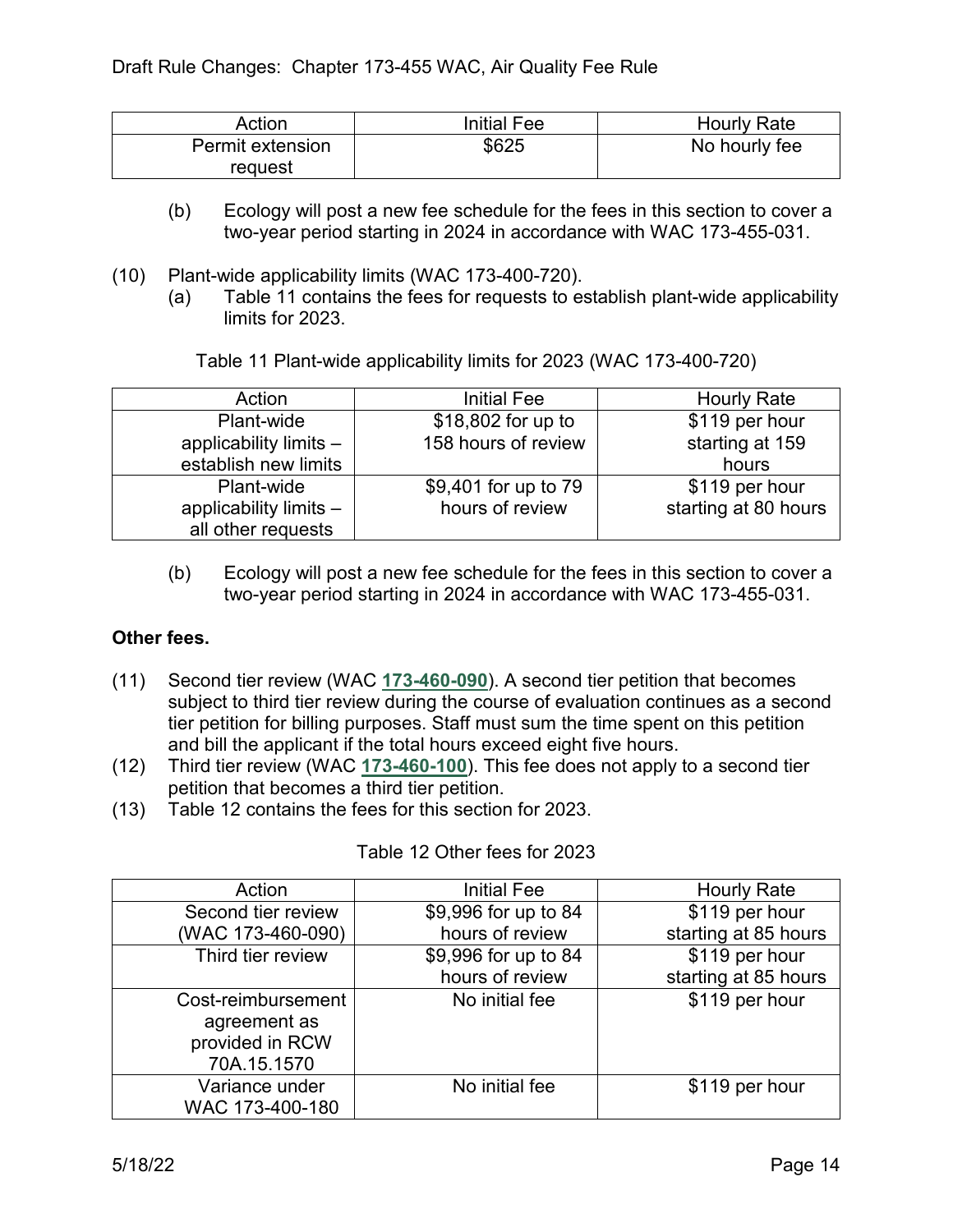| Action           | Initial Fee | <b>Hourly Rate</b> |
|------------------|-------------|--------------------|
| Permit extension | \$625       | No hourly fee      |
| request          |             |                    |

- (b) Ecology will post a new fee schedule for the fees in this section to cover a two-year period starting in 2024 in accordance with WAC 173-455-031.
- (10) Plant-wide applicability limits (WAC 173-400-720).
	- (a) Table 11 contains the fees for requests to establish plant-wide applicability limits for 2023.

Table 11 Plant-wide applicability limits for 2023 (WAC 173-400-720)

| Action                   | <b>Initial Fee</b>   | <b>Hourly Rate</b>   |
|--------------------------|----------------------|----------------------|
| Plant-wide               | \$18,802 for up to   | \$119 per hour       |
| applicability limits $-$ | 158 hours of review  | starting at 159      |
| establish new limits     |                      | hours                |
| Plant-wide               | \$9,401 for up to 79 | \$119 per hour       |
| applicability limits $-$ | hours of review      | starting at 80 hours |
| all other requests       |                      |                      |

(b) Ecology will post a new fee schedule for the fees in this section to cover a two-year period starting in 2024 in accordance with WAC 173-455-031.

#### **Other fees.**

- (11) Second tier review (WAC **[173-460-090](https://app.leg.wa.gov/WAC/default.aspx?cite=173-460-090)**). A second tier petition that becomes subject to third tier review during the course of evaluation continues as a second tier petition for billing purposes. Staff must sum the time spent on this petition and bill the applicant if the total hours exceed eight five hours.
- (12) Third tier review (WAC **[173-460-100](https://app.leg.wa.gov/WAC/default.aspx?cite=173-460-100)**). This fee does not apply to a second tier petition that becomes a third tier petition.
- (13) Table 12 contains the fees for this section for 2023.

| Action                                                               | <b>Initial Fee</b>   | <b>Hourly Rate</b>   |
|----------------------------------------------------------------------|----------------------|----------------------|
| Second tier review                                                   | \$9,996 for up to 84 | \$119 per hour       |
| (WAC 173-460-090)                                                    | hours of review      | starting at 85 hours |
| Third tier review                                                    | \$9,996 for up to 84 | \$119 per hour       |
|                                                                      | hours of review      | starting at 85 hours |
| Cost-reimbursement<br>agreement as<br>provided in RCW<br>70A.15.1570 | No initial fee       | \$119 per hour       |
| Variance under<br>WAC 173-400-180                                    | No initial fee       | \$119 per hour       |

Table 12 Other fees for 2023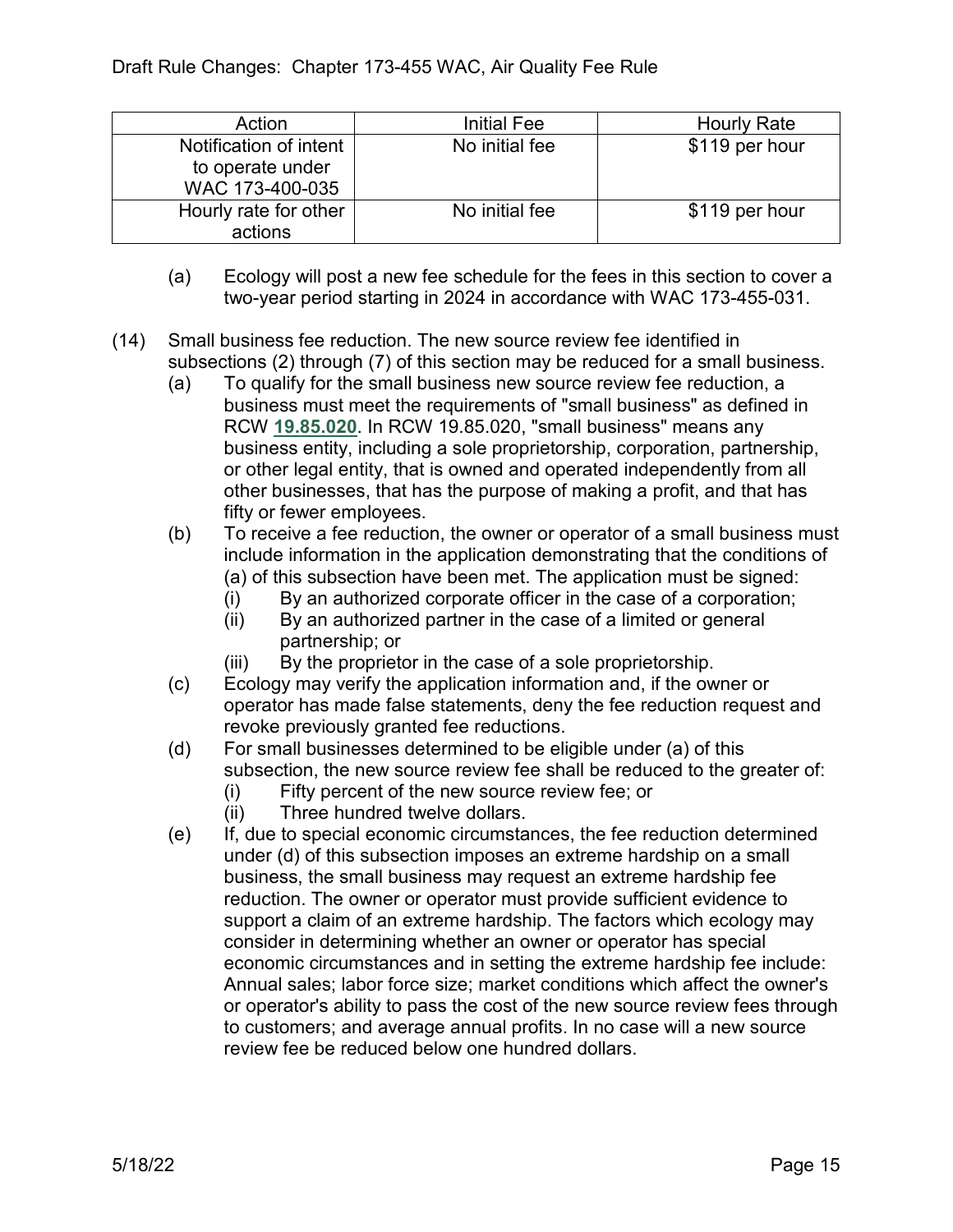| Action                 | <b>Initial Fee</b> | <b>Hourly Rate</b> |
|------------------------|--------------------|--------------------|
| Notification of intent | No initial fee     | \$119 per hour     |
| to operate under       |                    |                    |
| WAC 173-400-035        |                    |                    |
| Hourly rate for other  | No initial fee     | \$119 per hour     |
| actions                |                    |                    |

- (a) Ecology will post a new fee schedule for the fees in this section to cover a two-year period starting in 2024 in accordance with WAC 173-455-031.
- (14) Small business fee reduction. The new source review fee identified in subsections (2) through (7) of this section may be reduced for a small business.
	- (a) To qualify for the small business new source review fee reduction, a business must meet the requirements of "small business" as defined in RCW **[19.85.020](http://app.leg.wa.gov/RCW/default.aspx?cite=19.85.020)**. In RCW [19.85.020,](http://app.leg.wa.gov/RCW/default.aspx?cite=19.85.020) "small business" means any business entity, including a sole proprietorship, corporation, partnership, or other legal entity, that is owned and operated independently from all other businesses, that has the purpose of making a profit, and that has fifty or fewer employees.
	- (b) To receive a fee reduction, the owner or operator of a small business must include information in the application demonstrating that the conditions of
		- (a) of this subsection have been met. The application must be signed:
		- (i) By an authorized corporate officer in the case of a corporation;
		- (ii) By an authorized partner in the case of a limited or general partnership; or
		- (iii) By the proprietor in the case of a sole proprietorship.
	- (c) Ecology may verify the application information and, if the owner or operator has made false statements, deny the fee reduction request and revoke previously granted fee reductions.
	- (d) For small businesses determined to be eligible under (a) of this subsection, the new source review fee shall be reduced to the greater of:
		- (i) Fifty percent of the new source review fee; or
			- (ii) Three hundred twelve dollars.
	- (e) If, due to special economic circumstances, the fee reduction determined under (d) of this subsection imposes an extreme hardship on a small business, the small business may request an extreme hardship fee reduction. The owner or operator must provide sufficient evidence to support a claim of an extreme hardship. The factors which ecology may consider in determining whether an owner or operator has special economic circumstances and in setting the extreme hardship fee include: Annual sales; labor force size; market conditions which affect the owner's or operator's ability to pass the cost of the new source review fees through to customers; and average annual profits. In no case will a new source review fee be reduced below one hundred dollars.